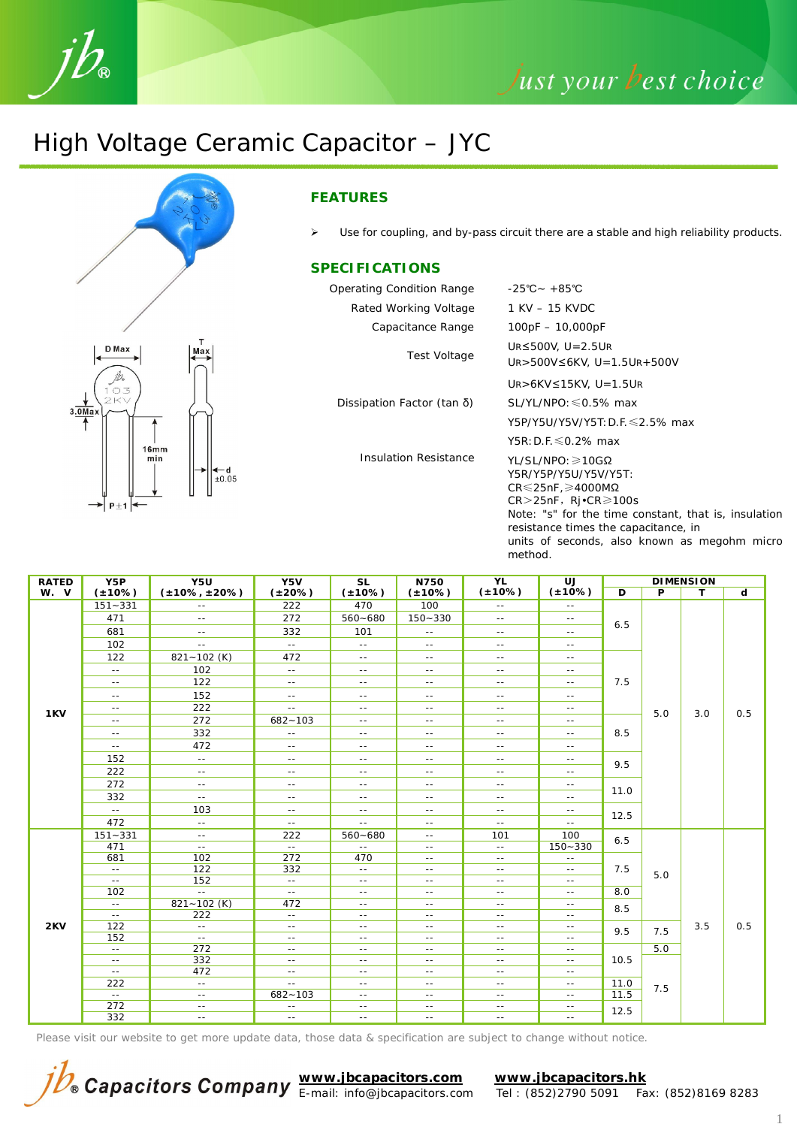

## Just your best choice

## High Voltage Ceramic Capacitor – JYC





#### **FEATURES**

 $\triangleright$  Use for coupling, and by-pass circuit there are a stable and high reliability products.

#### **SPECIFICATIONS**

| Operating Condition Range    | $-25^{\circ}$ C ~ +85 $^{\circ}$ C                                                                                                                                                                                                                                                          |
|------------------------------|---------------------------------------------------------------------------------------------------------------------------------------------------------------------------------------------------------------------------------------------------------------------------------------------|
| Rated Working Voltage        | 1 KV – 15 KVDC                                                                                                                                                                                                                                                                              |
| Capacitance Range            | $100pF - 10,000pF$                                                                                                                                                                                                                                                                          |
| Test Voltage                 | UR $\leq$ 500V, U=2.5UR<br>$U_{R}$ > 500V ≤ 6KV, U = 1.5UR + 500V                                                                                                                                                                                                                           |
|                              | UR>6KV≤15KV, U=1.5UR                                                                                                                                                                                                                                                                        |
| Dissipation Factor (tan δ)   | $SL/YL/NPO \leq 0.5\%$ max                                                                                                                                                                                                                                                                  |
|                              | Y5P/Y5U/Y5V/Y5T: D.F. ≤2.5% max                                                                                                                                                                                                                                                             |
|                              | Y5R: D.F. $\leq 0.2\%$ max                                                                                                                                                                                                                                                                  |
| <b>Insulation Resistance</b> | $YL/SL/NPO: \geq 10G\Omega$<br>Y5R/Y5P/Y5U/Y5V/Y5T:<br>$CR \le 25nF$ , $\ge 4000M\Omega$<br>$CR > 25nF$ , $Rj \cdot CR \ge 100s$<br>Note: "s" for the time constant, that is, insulation<br>resistance times the capacitance, in<br>units of seconds, also known as megohm micro<br>method. |

| <b>RATED</b> | Y5P                      | Y5U                     | Y5V               | <b>SL</b>           | <b>YL</b><br>N750        |                          | UJ                          | <b>DIMENSION</b>             |     |     |                |
|--------------|--------------------------|-------------------------|-------------------|---------------------|--------------------------|--------------------------|-----------------------------|------------------------------|-----|-----|----------------|
| W. V         | $(*10%)$                 | $(\pm 10\% , \pm 20\%)$ | $(*20\%)$         | $(*10%)$            | $(*10\%)$                | $(*10%)$                 | $(*10%)$                    | D                            | P   | T.  | $\overline{d}$ |
|              | $151 - 331$              | $\sim$ $\sim$           | 222               | 470                 | 100                      | $\sim$ $-$               | $\sim$ $-$                  | 6.5<br>7.5                   |     | 3.0 | 0.5            |
|              | 471                      | $\sim$ $-$              | 272               | $560 - 680$         | $150 - 330$              | $\sim$ $\sim$            | $\sim$ $-$                  |                              | 5.0 |     |                |
|              | 681                      | $\sim$ $\sim$           | 332               | 101                 | $- -$                    | $\sim$ $-$               | $\sim$ $-$                  |                              |     |     |                |
|              | 102                      | $\sim$ $\sim$           | $\sim$            | $\sim$ $\sim$       | $- -$                    | $\sim$ $-$               | $\sim$ $-$                  |                              |     |     |                |
|              | 122                      | $821 - 102$ (K)         | 472               | $\sim$ $\sim$       | $\sim$ $-$               | $\sim$ $-$               | $\sim$ $-$                  |                              |     |     |                |
|              | $- -$                    | 102                     | $\sim$            | $\sim$ $\sim$       | $\sim$ $\sim$            | $\sim$ $-$               | $\sim$ $\sim$               |                              |     |     |                |
|              | $- -$                    | 122                     | $\sim$ $-$        | $\sim$ $-$          | $\sim$ $-$               | $\sim$ $\sim$            | $\sim$ $-$                  |                              |     |     |                |
|              | $\sim$ $-$               | 152                     | $\sim$ $-$        | $  \,$              | $\sim$ $-$               | $\sim$ $-$               | $\sim$ $-$                  |                              |     |     |                |
| 1KV          | $\sim$ $-$               | 222                     | $\sim$ $-$        | $  \cdot$           | $\sim$ $-$               | $\sim$ $-$               | $\sim$ $-$                  |                              |     |     |                |
|              | $\sim$ $-$               | 272                     | $682 - 103$       | $  \cdot$           | $\sim$ $-$               | $\sim$ $-$               | $\sim$ $-$                  |                              |     |     |                |
|              | $\sim$ $-$               | 332                     | $-$               | $  \,$              | $\sim$ $-$               | $\sim$ $-$               | $\sim$ $-$                  | 8.5                          |     |     |                |
|              | $\sim$                   | 472                     | $- -$             | $- -$               | $\sim$ $-$               | $\sim$ $-$               | $\sim$ $-$                  |                              |     |     |                |
|              | 152                      | $\sim$ $\sim$           | $\sim$ $\sim$     | $-$                 | $ -$                     | $\sim$ $\sim$            | $\sim$ $-$                  | 9.5                          |     |     |                |
|              | 222                      | $\sim$ $\sim$           | $\sim$ $-$        | $\sim$ $\sim$       | $\sim$ $\sim$            | $\sim$ $\sim$            | $\sim$ $\sim$               |                              |     |     |                |
|              | 272                      | $\sim$ $-$              | $\sim$ $-$        | $- -$               | $\sim$ $\sim$            | $\sim$ $\sim$            | $\sim$ $-$                  | 11.0<br>12.5                 |     |     |                |
|              | 332                      | $\sim$ $\sim$           | $\sim$ $-$        | $  \,$              | $- -$                    | $\sim$ $-$               | $\sim$ $\sim$               |                              |     |     |                |
|              | $\sim$ $\sim$            | 103                     | $\sim$ $-$        | $\sim$ $\sim$       | $\sim$ $-$               | $\sim$ $-$               | $\sim$ $-$                  |                              |     |     |                |
|              | 472                      | $\sim$ $-$              | $\sim$ $-$        | $\sim$ $\sim$       | $\sim$ $-$               | $\sim$ $-$               | $\sim$ $-$                  |                              |     |     |                |
|              | $151 - 331$              | $\sim$ $-$              | 222               | $560 - 680$         | $\sim$ $-$               | 101                      | 100                         | 6.5<br>7.5                   | 5.0 | 3.5 | 0.5            |
|              | 471                      | $\sim$ $\sim$           | $\sim$ $\sim$     | $  \,$              | $  \,$                   | $\sim$ $\sim$            | $150 - 330$                 |                              |     |     |                |
|              | 681                      | 102                     | 272               | 470                 | $\sim$ $\sim$            | $\sim$ $\sim$            | $\sim$ $\sim$               |                              |     |     |                |
|              | $\overline{a}$           | 122                     | 332               | $\sim$ $\sim$       | $- -$                    | $\sim$ $\sim$            | $\sim$ $\sim$               |                              |     |     |                |
|              | $\sim$ $\sim$            | 152                     | $\sim$ $\sim$     | $  \,$              | $ -$                     | $\sim$ $\sim$            | $\sim$ $-$                  |                              |     |     |                |
|              | 102                      | $\sim$ $\sim$           | $\sim$ $\sim$     | $  \,$              | $\sim$ $\sim$            | $\sim$ $\sim$            | $\sim$ $\sim$               | 8.0                          |     |     |                |
| 2KV          | $\sim$ $-$<br>$\sim$ $-$ | $821 - 102$ (K)<br>222  | 472<br>$\sim$ $-$ | $\sim$ $-$<br>$- -$ | $\sim$ $-$               | $\sim$ $-$<br>$\sim$ $-$ | $\sim$ $-$<br>$\sim$ $\sim$ | 8.5                          |     |     |                |
|              | 122                      | $\sim$ $-$              | $\sim$ $-$        | $\sim$ $-$          | $\sim$ $-$<br>$\sim$ $-$ | $\sim$ $-$               | $\sim$ $-$                  |                              |     |     |                |
|              | 152                      | $\sim$ $\sim$           | $\sim$ $-$        | $- -$               | $\sim$ $-$               | $\sim$ $-$               | $\sim$ $-$                  | 9.5                          | 7.5 |     |                |
|              | $\sim$                   | 272                     | $\sim$ $-$        | $\sim$ $-$          | $- -$                    | $\sim$ $-$               | $\sim$ $-$                  |                              | 5.0 |     |                |
|              | $ -$                     | 332                     | $  \,$            | $- -$               | $\sim$ $-$               | $\sim$ $-$               | $\sim$ $-$                  | 10.5<br>11.0<br>11.5<br>12.5 |     |     |                |
|              | $\sim$ $\sim$            | 472                     | $\sim$ $-$        | $  \,$              | $\sim$ $\sim$            | $\sim$ $\sim$            | $  \,$                      |                              |     |     |                |
|              | 222                      | $\sim$ $-$              | $\sim$ $-$        | $\sim$ $-$          | $\sim$ $-$               | $\sim$ $-$               | $\sim$ $-$                  |                              | 7.5 |     |                |
|              | $\sim$ $\sim$            | $\sim$ $\sim$           | $682 - 103$       | $- -$               | $\sim$ $-$               | $\sim$ $-$               | $\sim$ $-$                  |                              |     |     |                |
|              | 272                      | $\sim$ $-$              | $\sim$ $-$        | $\sim$ $-$          | $\sim$ $-$               | $\sim$ $-$               | $\sim$ $-$                  |                              |     |     |                |
|              | 332                      | $\sim$ $-$              | $\sim$ $-$        | $\sim$ $-$          | $\sim$ $-$               | $\sim$ $-$               | $\sim$ $-$                  |                              |     |     |                |

Please visit our website to get more update data, those data & specification are subject to change without notice.



**www.jbcapacitors.com www.jbcapacitors.hk** E-mail: info@jbcapacitors.com Tel : (852)2790 5091 Fax: (852)8169 8283